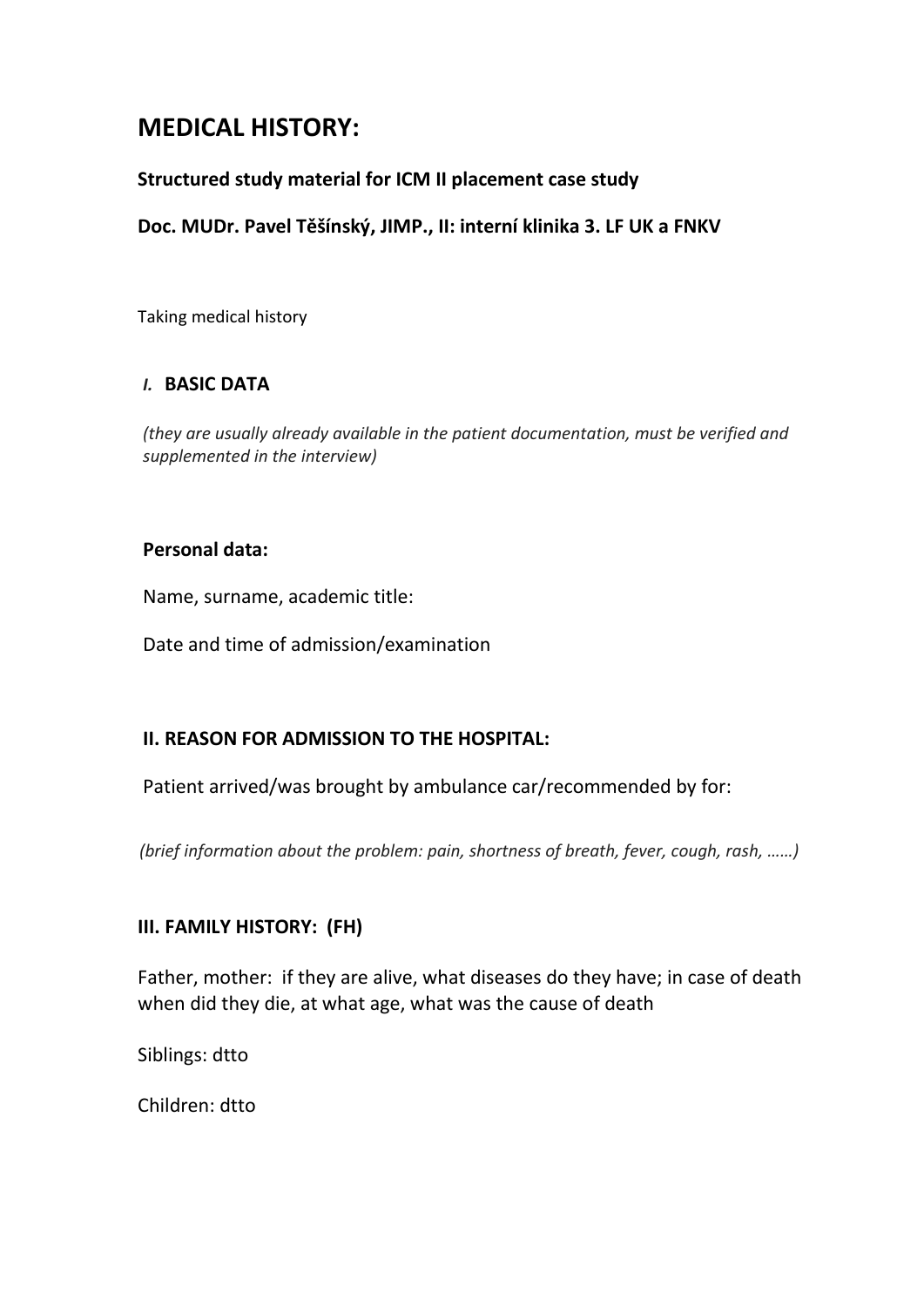# **MEDICAL HISTORY:**

#### **Structured study material for ICM II placement case study**

#### **Doc. MUDr. Pavel Těšínský, JIMP., II: interní klinika 3. LF UK a FNKV**

Taking medical history

#### *I.* **BASIC DATA**

*(they are usually already available in the patient documentation, must be verified and supplemented in the interview)*

#### **Personal data:**

Name, surname, academic title:

Date and time of admission/examination

## **II. REASON FOR ADMISSION TO THE HOSPITAL:**

Patient arrived/was brought by ambulance car/recommended by for:

 *(brief information about the problem: pain, shortness of breath, fever, cough, rash, ……)*

#### **III. FAMILY HISTORY: (FH)**

Father, mother: if they are alive, what diseases do they have; in case of death when did they die, at what age, what was the cause of death

Siblings: dtto

Children: dtto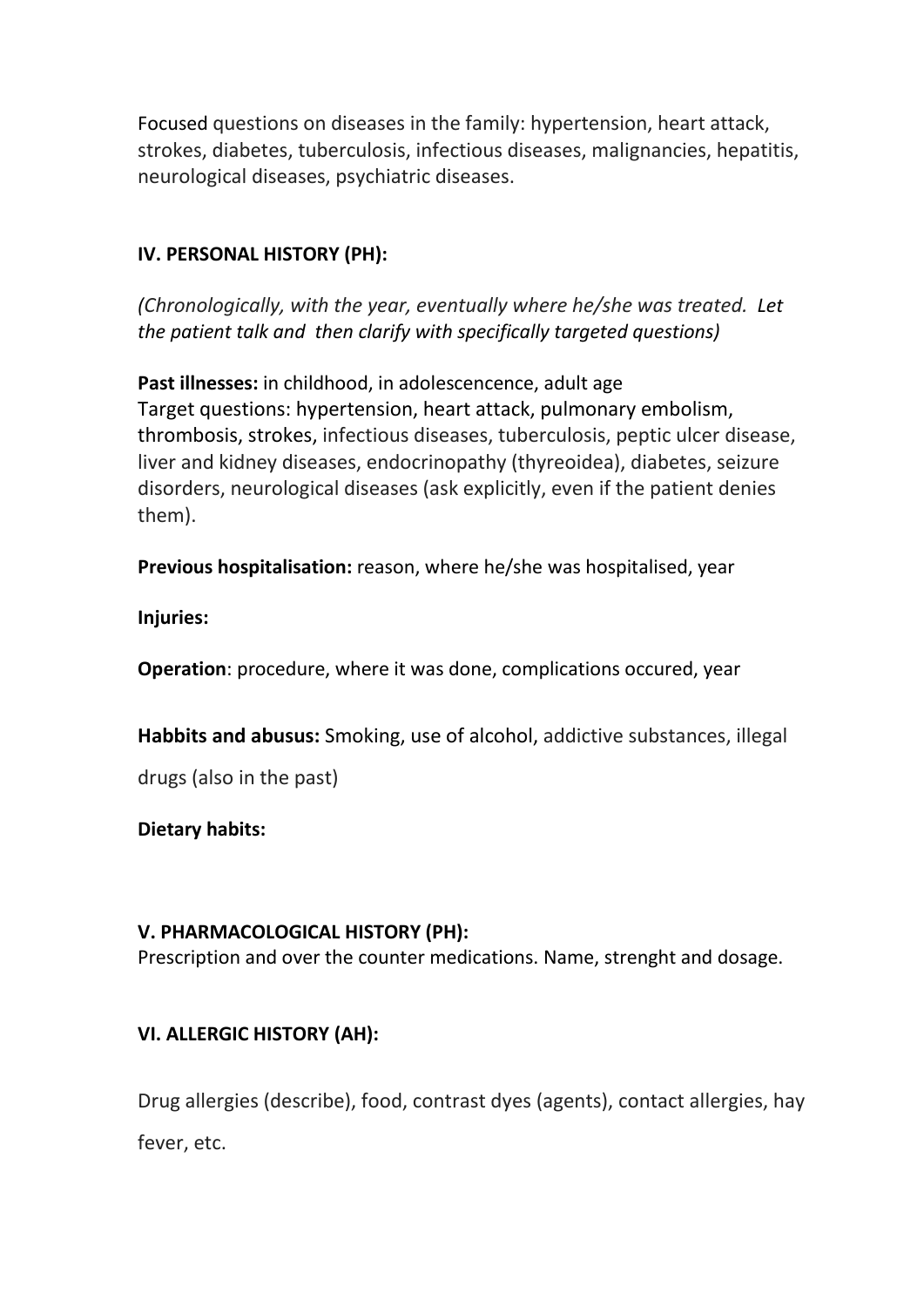Focused questions on diseases in the family: hypertension, heart attack, strokes, diabetes, tuberculosis, infectious diseases, malignancies, hepatitis, neurological diseases, psychiatric diseases.

# **IV. PERSONAL HISTORY (PH):**

*(Chronologically, with the year, eventually where he/she was treated. Let the patient talk and then clarify with specifically targeted questions)* 

**Past illnesses:** in childhood, in adolescencence, adult age Target questions: hypertension, heart attack, pulmonary embolism, thrombosis, strokes, infectious diseases, tuberculosis, peptic ulcer disease, liver and kidney diseases, endocrinopathy (thyreoidea), diabetes, seizure disorders, neurological diseases (ask explicitly, even if the patient denies them).

**Previous hospitalisation:** reason, where he/she was hospitalised, year

**Injuries:** 

**Operation**: procedure, where it was done, complications occured, year

**Habbits and abusus:** Smoking, use of alcohol, addictive substances, illegal

drugs (also in the past)

**Dietary habits:** 

#### **V. PHARMACOLOGICAL HISTORY (PH):**

Prescription and over the counter medications. Name, strenght and dosage.

# **VI. ALLERGIC HISTORY (AH):**

Drug allergies (describe), food, contrast dyes (agents), contact allergies, hay fever, etc.